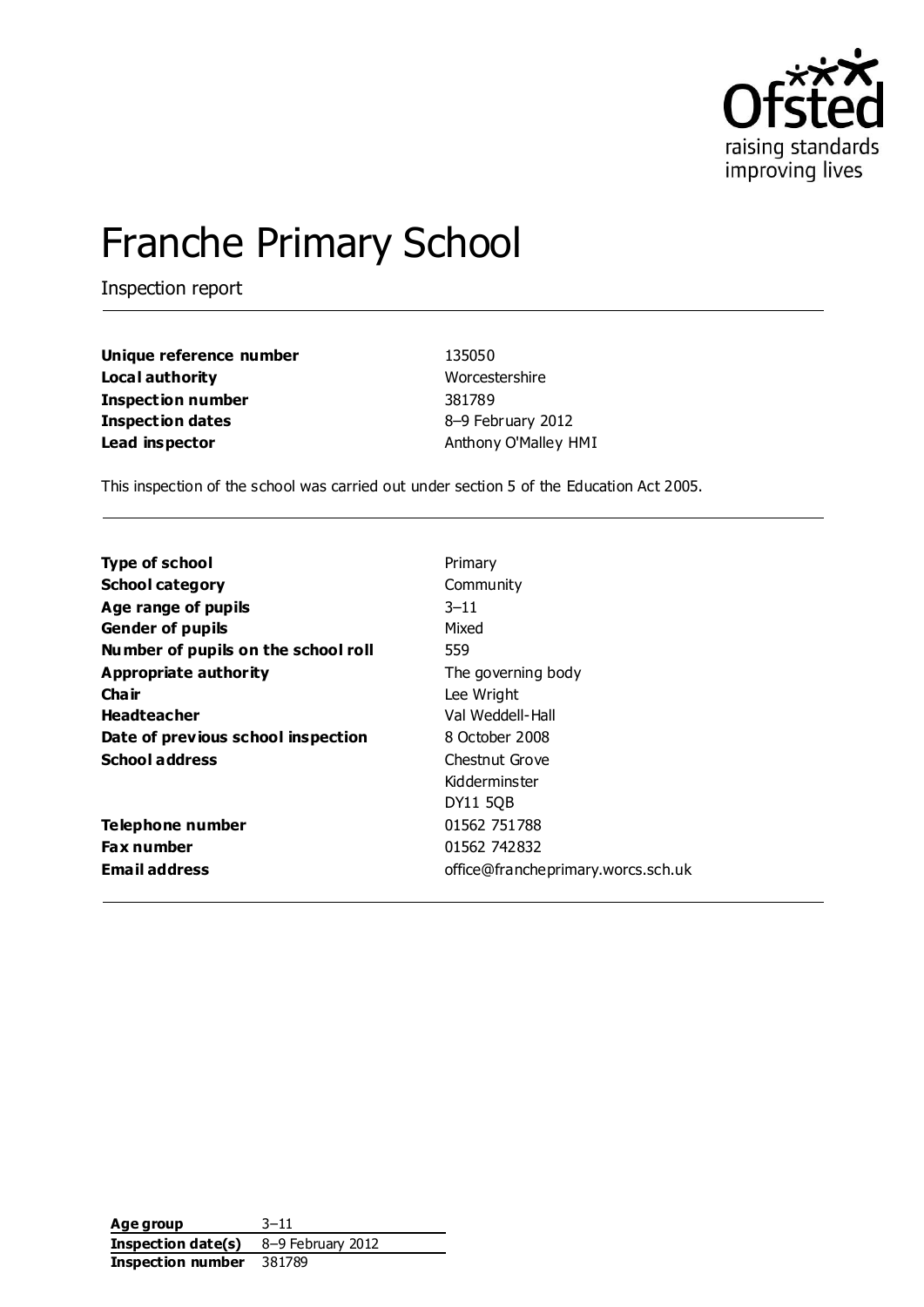

# Franche Primary School

Inspection report

| Unique reference number  | 135050               |
|--------------------------|----------------------|
| Local authority          | Worcestershire       |
| <b>Inspection number</b> | 381789               |
| <b>Inspection dates</b>  | 8-9 February 2012    |
| Lead inspector           | Anthony O'Malley HMI |

This inspection of the school was carried out under section 5 of the Education Act 2005.

| <b>Type of school</b>               | Primary                            |
|-------------------------------------|------------------------------------|
| <b>School category</b>              | Community                          |
| Age range of pupils                 | $3 - 11$                           |
| <b>Gender of pupils</b>             | Mixed                              |
| Number of pupils on the school roll | 559                                |
| Appropriate authority               | The governing body                 |
| Cha ir                              | Lee Wright                         |
| <b>Headteacher</b>                  | Val Weddell-Hall                   |
| Date of previous school inspection  | 8 October 2008                     |
| <b>School address</b>               | Chestnut Grove                     |
|                                     | Kidderminster                      |
|                                     | DY11 50B                           |
| Telephone number                    | 01562 751788                       |
| <b>Fax number</b>                   | 01562 742832                       |
| <b>Email address</b>                | office@francheprimary.worcs.sch.uk |

**Age group** 3–11 **Inspection date(s)** 8–9 February 2012 **Inspection number** 381789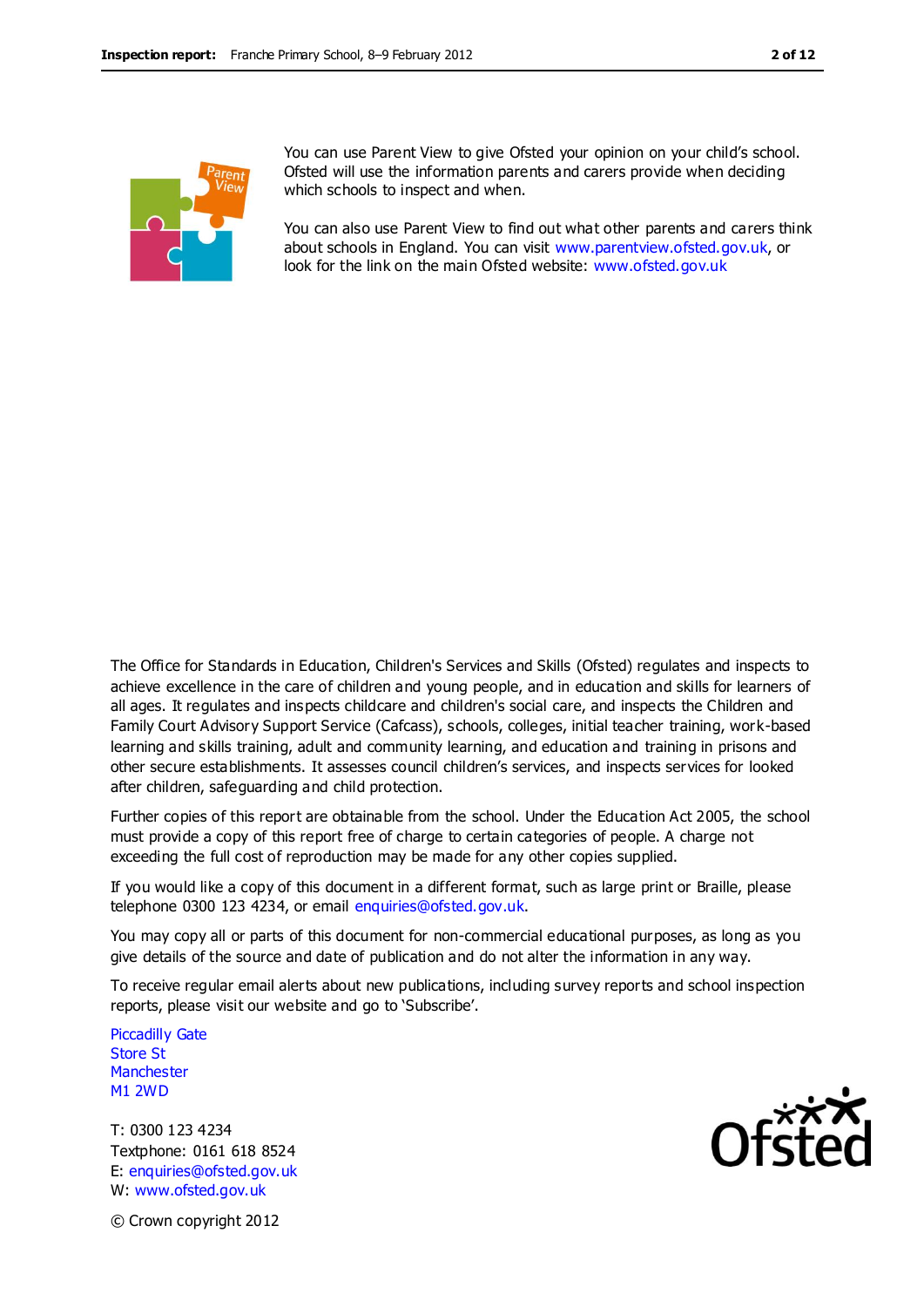

You can use Parent View to give Ofsted your opinion on your child's school. Ofsted will use the information parents and carers provide when deciding which schools to inspect and when.

You can also use Parent View to find out what other parents and carers think about schools in England. You can visit [www.parentview.ofsted.gov.uk,](http://www.parentview.ofsted.gov.uk/) or look for the link on the main Ofsted website: [www.ofsted.gov.uk](http://www.ofsted.gov.uk/)

The Office for Standards in Education, Children's Services and Skills (Ofsted) regulates and inspects to achieve excellence in the care of children and young people, and in education and skills for learners of all ages. It regulates and inspects childcare and children's social care, and inspects the Children and Family Court Advisory Support Service (Cafcass), schools, colleges, initial teacher training, work-based learning and skills training, adult and community learning, and education and training in prisons and other secure establishments. It assesses council children's services, and inspects services for looked after children, safeguarding and child protection.

Further copies of this report are obtainable from the school. Under the Education Act 2005, the school must provide a copy of this report free of charge to certain categories of people. A charge not exceeding the full cost of reproduction may be made for any other copies supplied.

If you would like a copy of this document in a different format, such as large print or Braille, please telephone 0300 123 4234, or email enquiries@ofsted.gov.uk.

You may copy all or parts of this document for non-commercial educational purposes, as long as you give details of the source and date of publication and do not alter the information in any way.

To receive regular email alerts about new publications, including survey reports and school inspection reports, please visit our website and go to 'Subscribe'.

Piccadilly Gate Store St **Manchester** M1 2WD

T: 0300 123 4234 Textphone: 0161 618 8524 E: enquiries@ofsted.gov.uk W: www.ofsted.gov.uk



© Crown copyright 2012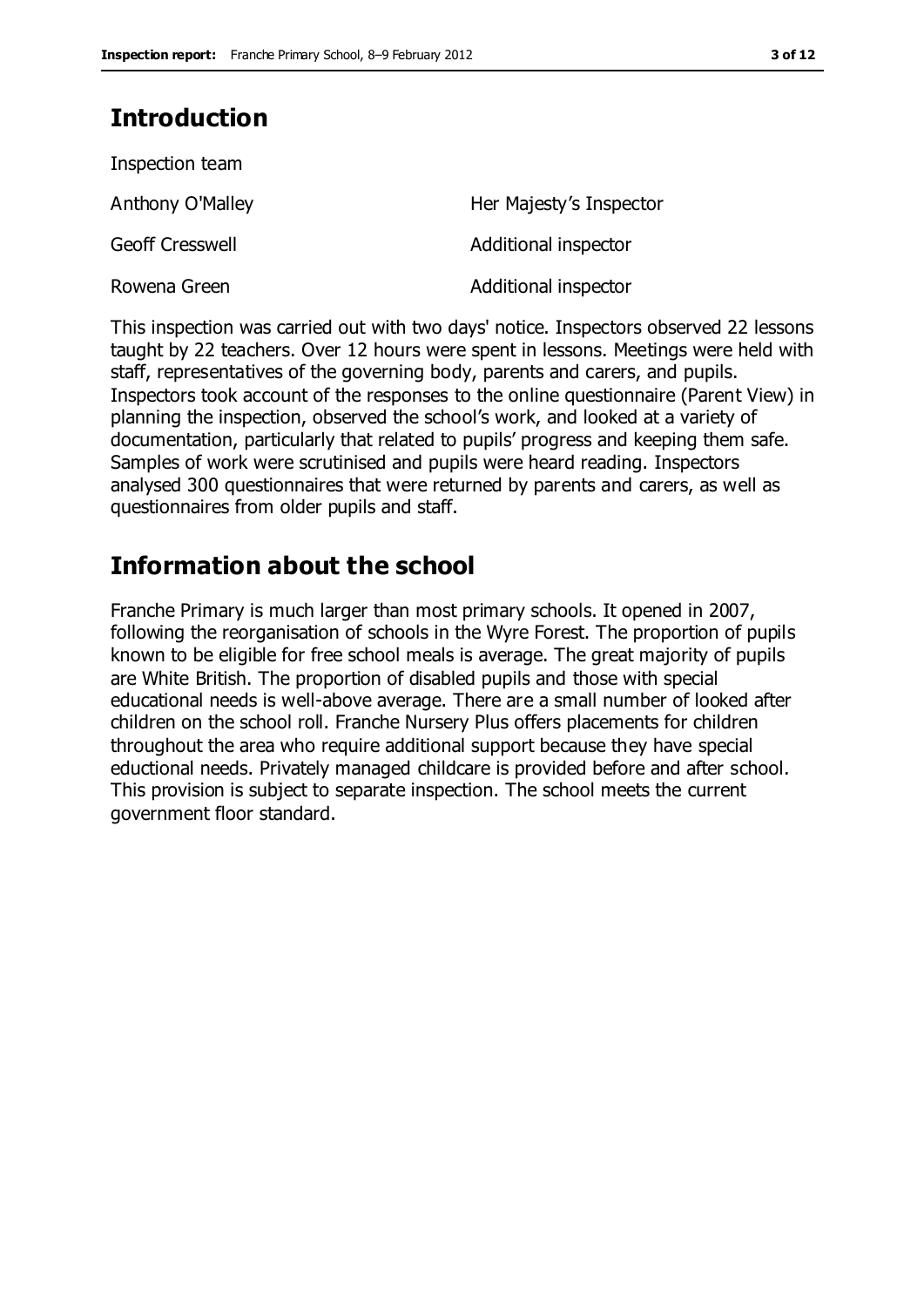# **Introduction**

| Inspection team        |                         |
|------------------------|-------------------------|
| Anthony O'Malley       | Her Majesty's Inspector |
| <b>Geoff Cresswell</b> | Additional inspector    |
| Rowena Green           | Additional inspector    |

This inspection was carried out with two days' notice. Inspectors observed 22 lessons taught by 22 teachers. Over 12 hours were spent in lessons. Meetings were held with staff, representatives of the governing body, parents and carers, and pupils. Inspectors took account of the responses to the online questionnaire (Parent View) in planning the inspection, observed the school's work, and looked at a variety of documentation, particularly that related to pupils' progress and keeping them safe. Samples of work were scrutinised and pupils were heard reading. Inspectors analysed 300 questionnaires that were returned by parents and carers, as well as questionnaires from older pupils and staff.

# **Information about the school**

Franche Primary is much larger than most primary schools. It opened in 2007, following the reorganisation of schools in the Wyre Forest. The proportion of pupils known to be eligible for free school meals is average. The great majority of pupils are White British. The proportion of disabled pupils and those with special educational needs is well-above average. There are a small number of looked after children on the school roll. Franche Nursery Plus offers placements for children throughout the area who require additional support because they have special eductional needs. Privately managed childcare is provided before and after school. This provision is subject to separate inspection. The school meets the current government floor standard.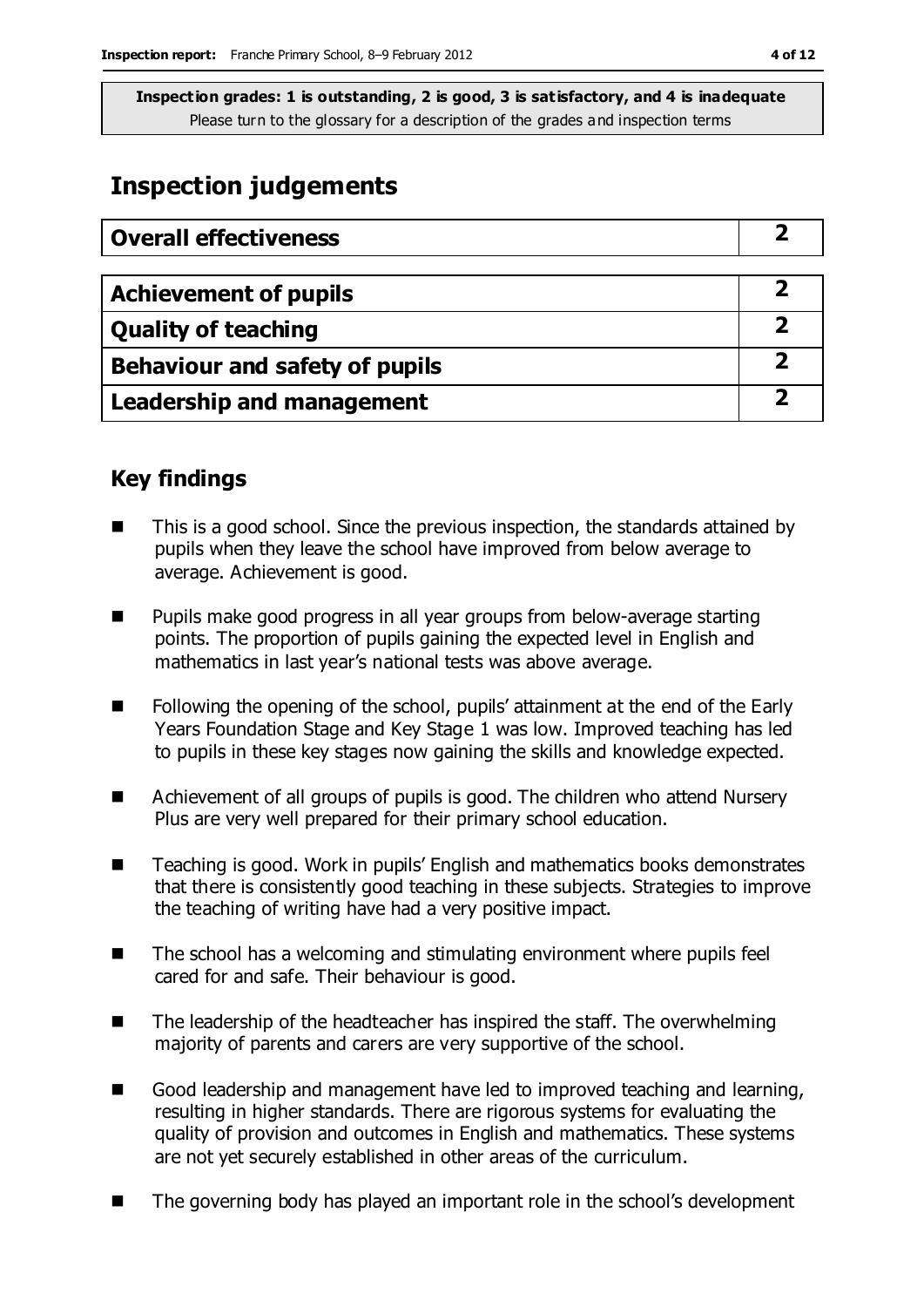# **Inspection judgements**

| <b>Overall effectiveness</b>     |  |
|----------------------------------|--|
|                                  |  |
| <b>Achievement of pupils</b>     |  |
| <b>Quality of teaching</b>       |  |
| Behaviour and safety of pupils   |  |
| <b>Leadership and management</b> |  |

### **Key findings**

- This is a good school. Since the previous inspection, the standards attained by pupils when they leave the school have improved from below average to average. Achievement is good.
- Pupils make good progress in all year groups from below-average starting points. The proportion of pupils gaining the expected level in English and mathematics in last year's national tests was above average.
- Following the opening of the school, pupils' attainment at the end of the Early Years Foundation Stage and Key Stage 1 was low. Improved teaching has led to pupils in these key stages now gaining the skills and knowledge expected.
- Achievement of all groups of pupils is good. The children who attend Nursery Plus are very well prepared for their primary school education.
- Teaching is good. Work in pupils' English and mathematics books demonstrates that there is consistently good teaching in these subjects. Strategies to improve the teaching of writing have had a very positive impact.
- The school has a welcoming and stimulating environment where pupils feel cared for and safe. Their behaviour is good.
- $\blacksquare$  The leadership of the headteacher has inspired the staff. The overwhelming majority of parents and carers are very supportive of the school.
- Good leadership and management have led to improved teaching and learning, resulting in higher standards. There are rigorous systems for evaluating the quality of provision and outcomes in English and mathematics. These systems are not yet securely established in other areas of the curriculum.
- The governing body has played an important role in the school's development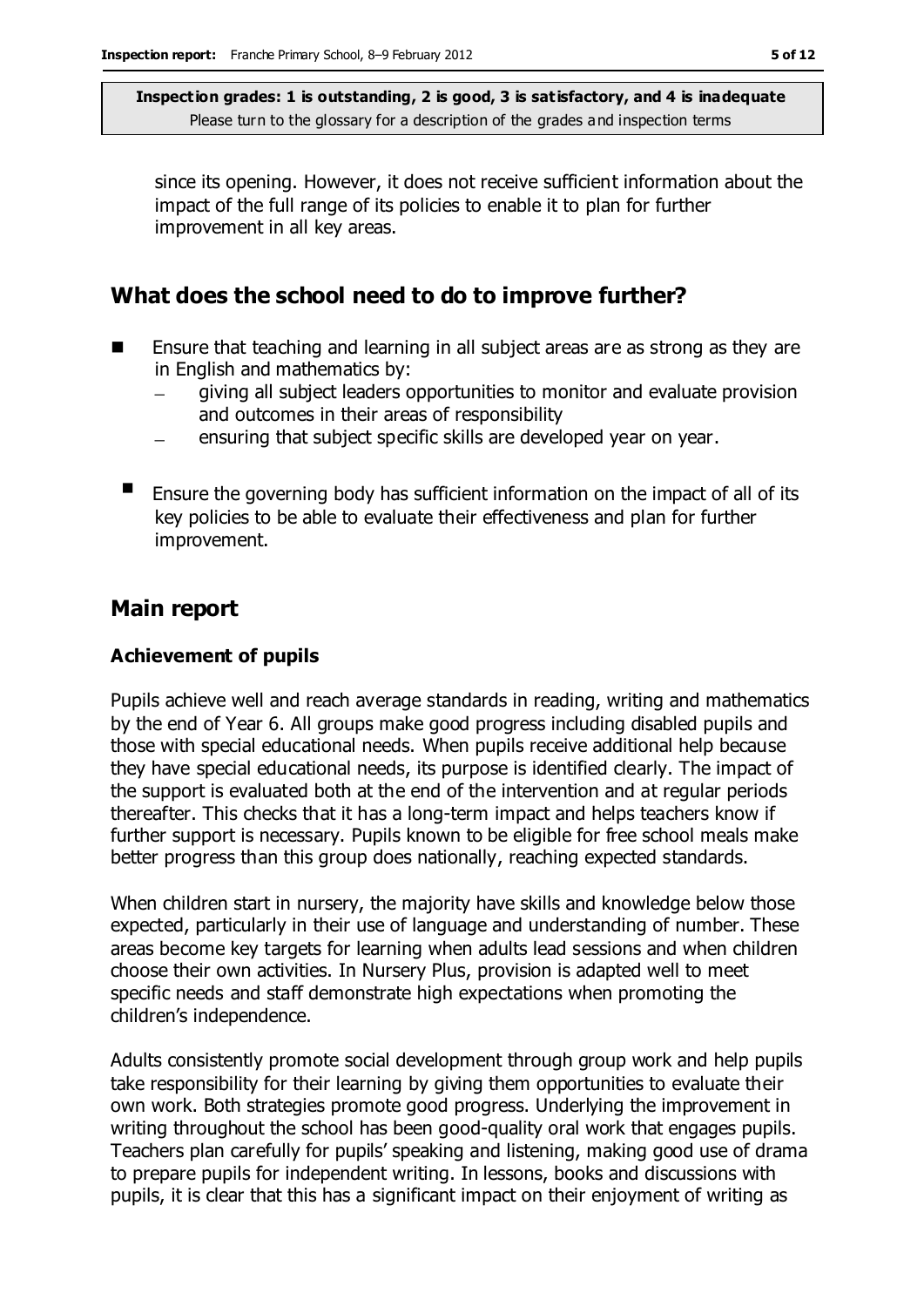since its opening. However, it does not receive sufficient information about the impact of the full range of its policies to enable it to plan for further improvement in all key areas.

### **What does the school need to do to improve further?**

- **E** Ensure that teaching and learning in all subject areas are as strong as they are in English and mathematics by:
	- giving all subject leaders opportunities to monitor and evaluate provision and outcomes in their areas of responsibility
	- ensuring that subject specific skills are developed year on year.
	- **E** Ensure the governing body has sufficient information on the impact of all of its key policies to be able to evaluate their effectiveness and plan for further improvement.

### **Main report**

#### **Achievement of pupils**

Pupils achieve well and reach average standards in reading, writing and mathematics by the end of Year 6. All groups make good progress including disabled pupils and those with special educational needs. When pupils receive additional help because they have special educational needs, its purpose is identified clearly. The impact of the support is evaluated both at the end of the intervention and at regular periods thereafter. This checks that it has a long-term impact and helps teachers know if further support is necessary. Pupils known to be eligible for free school meals make better progress than this group does nationally, reaching expected standards.

When children start in nursery, the majority have skills and knowledge below those expected, particularly in their use of language and understanding of number. These areas become key targets for learning when adults lead sessions and when children choose their own activities. In Nursery Plus, provision is adapted well to meet specific needs and staff demonstrate high expectations when promoting the children's independence.

Adults consistently promote social development through group work and help pupils take responsibility for their learning by giving them opportunities to evaluate their own work. Both strategies promote good progress. Underlying the improvement in writing throughout the school has been good-quality oral work that engages pupils. Teachers plan carefully for pupils' speaking and listening, making good use of drama to prepare pupils for independent writing. In lessons, books and discussions with pupils, it is clear that this has a significant impact on their enjoyment of writing as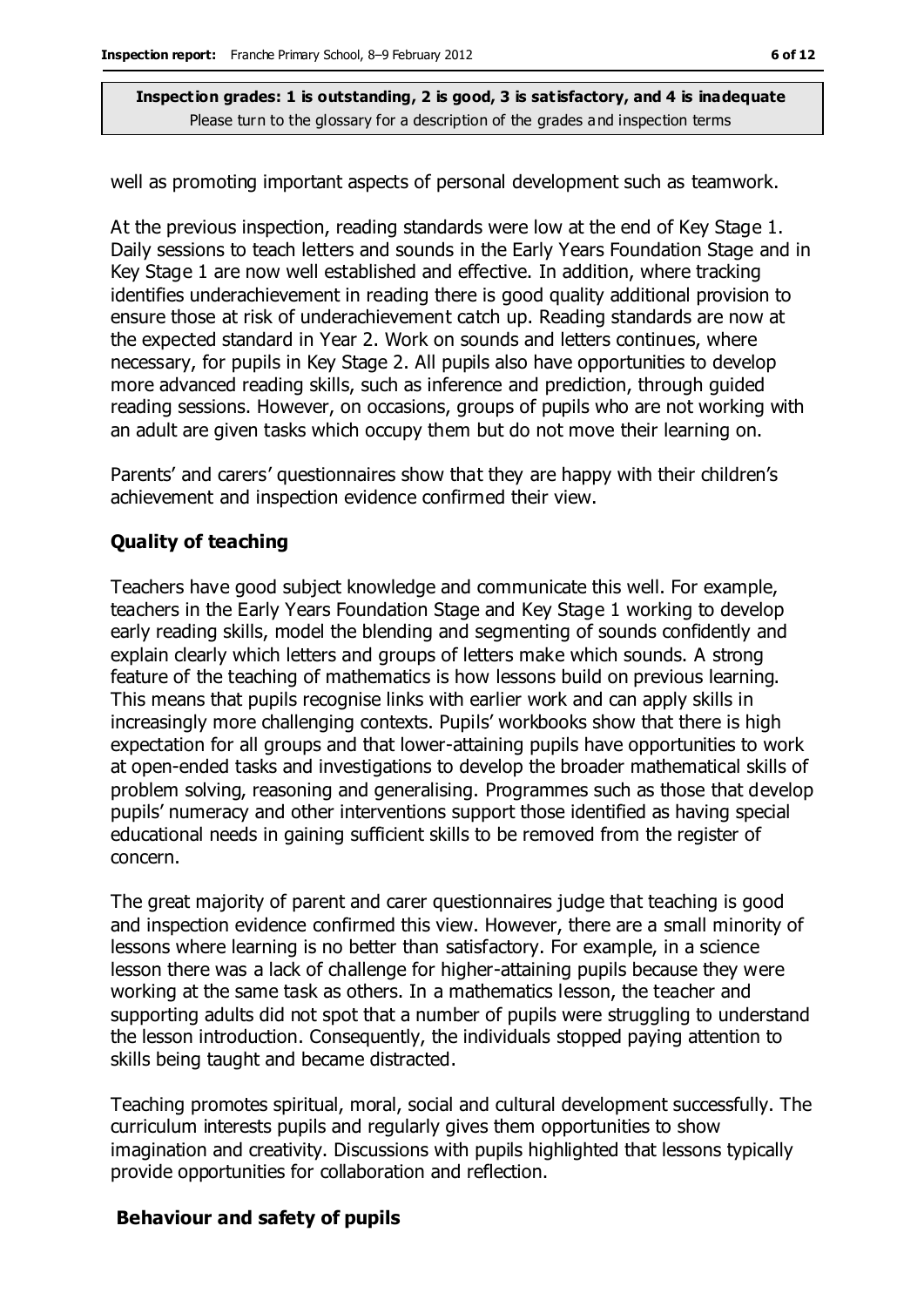well as promoting important aspects of personal development such as teamwork.

At the previous inspection, reading standards were low at the end of Key Stage 1. Daily sessions to teach letters and sounds in the Early Years Foundation Stage and in Key Stage 1 are now well established and effective. In addition, where tracking identifies underachievement in reading there is good quality additional provision to ensure those at risk of underachievement catch up. Reading standards are now at the expected standard in Year 2. Work on sounds and letters continues, where necessary, for pupils in Key Stage 2. All pupils also have opportunities to develop more advanced reading skills, such as inference and prediction, through guided reading sessions. However, on occasions, groups of pupils who are not working with an adult are given tasks which occupy them but do not move their learning on.

Parents' and carers' questionnaires show that they are happy with their children's achievement and inspection evidence confirmed their view.

#### **Quality of teaching**

Teachers have good subject knowledge and communicate this well. For example, teachers in the Early Years Foundation Stage and Key Stage 1 working to develop early reading skills, model the blending and segmenting of sounds confidently and explain clearly which letters and groups of letters make which sounds. A strong feature of the teaching of mathematics is how lessons build on previous learning. This means that pupils recognise links with earlier work and can apply skills in increasingly more challenging contexts. Pupils' workbooks show that there is high expectation for all groups and that lower-attaining pupils have opportunities to work at open-ended tasks and investigations to develop the broader mathematical skills of problem solving, reasoning and generalising. Programmes such as those that develop pupils' numeracy and other interventions support those identified as having special educational needs in gaining sufficient skills to be removed from the register of concern.

The great majority of parent and carer questionnaires judge that teaching is good and inspection evidence confirmed this view. However, there are a small minority of lessons where learning is no better than satisfactory. For example, in a science lesson there was a lack of challenge for higher-attaining pupils because they were working at the same task as others. In a mathematics lesson, the teacher and supporting adults did not spot that a number of pupils were struggling to understand the lesson introduction. Consequently, the individuals stopped paying attention to skills being taught and became distracted.

Teaching promotes spiritual, moral, social and cultural development successfully. The curriculum interests pupils and regularly gives them opportunities to show imagination and creativity. Discussions with pupils highlighted that lessons typically provide opportunities for collaboration and reflection.

#### **Behaviour and safety of pupils**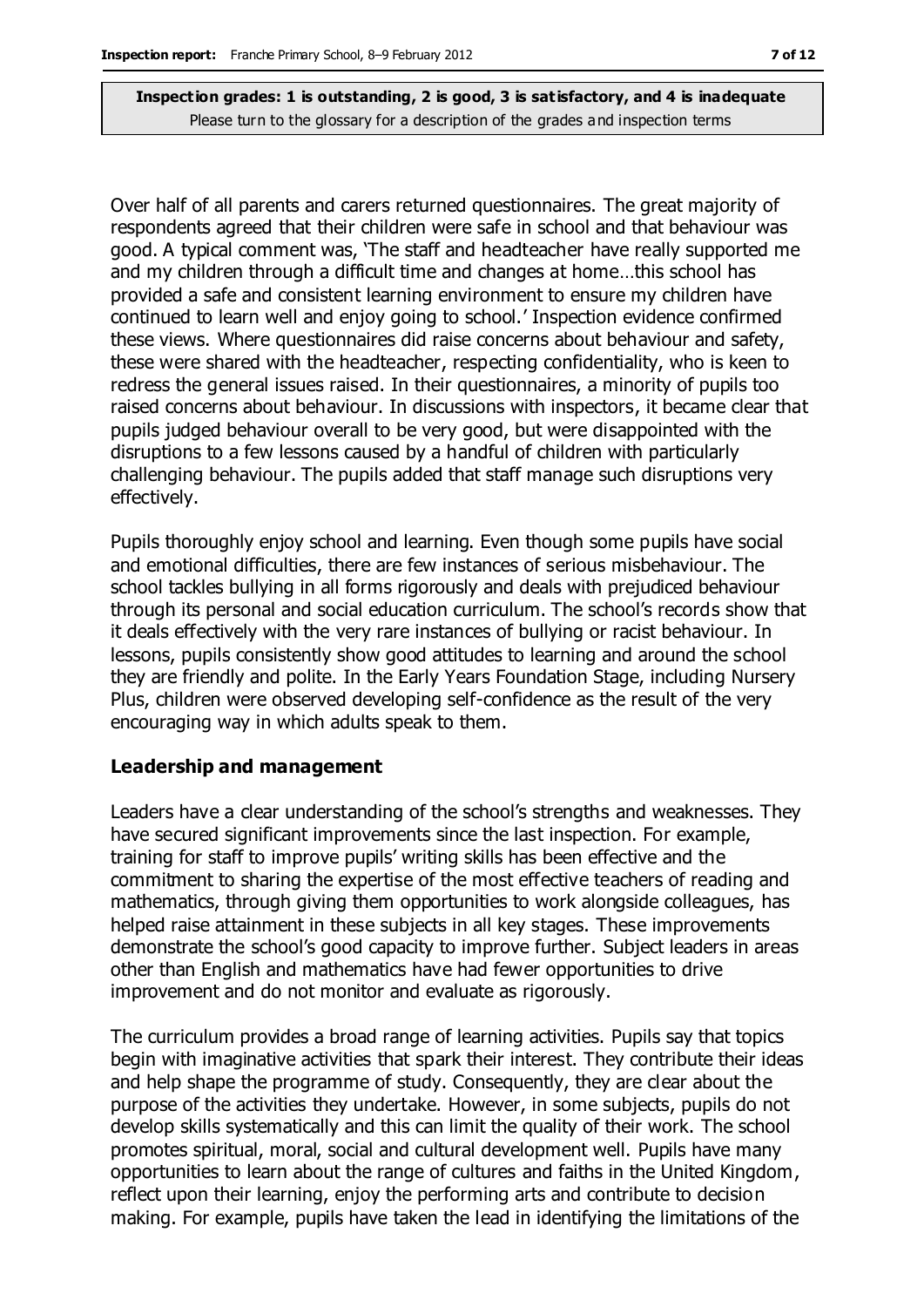Over half of all parents and carers returned questionnaires. The great majority of respondents agreed that their children were safe in school and that behaviour was good. A typical comment was, 'The staff and headteacher have really supported me and my children through a difficult time and changes at home…this school has provided a safe and consistent learning environment to ensure my children have continued to learn well and enjoy going to school.' Inspection evidence confirmed these views. Where questionnaires did raise concerns about behaviour and safety, these were shared with the headteacher, respecting confidentiality, who is keen to redress the general issues raised. In their questionnaires, a minority of pupils too raised concerns about behaviour. In discussions with inspectors, it became clear that pupils judged behaviour overall to be very good, but were disappointed with the disruptions to a few lessons caused by a handful of children with particularly challenging behaviour. The pupils added that staff manage such disruptions very effectively.

Pupils thoroughly enjoy school and learning. Even though some pupils have social and emotional difficulties, there are few instances of serious misbehaviour. The school tackles bullying in all forms rigorously and deals with prejudiced behaviour through its personal and social education curriculum. The school's records show that it deals effectively with the very rare instances of bullying or racist behaviour. In lessons, pupils consistently show good attitudes to learning and around the school they are friendly and polite. In the Early Years Foundation Stage, including Nursery Plus, children were observed developing self-confidence as the result of the very encouraging way in which adults speak to them.

#### **Leadership and management**

Leaders have a clear understanding of the school's strengths and weaknesses. They have secured significant improvements since the last inspection. For example, training for staff to improve pupils' writing skills has been effective and the commitment to sharing the expertise of the most effective teachers of reading and mathematics, through giving them opportunities to work alongside colleagues, has helped raise attainment in these subjects in all key stages. These improvements demonstrate the school's good capacity to improve further. Subject leaders in areas other than English and mathematics have had fewer opportunities to drive improvement and do not monitor and evaluate as rigorously.

The curriculum provides a broad range of learning activities. Pupils say that topics begin with imaginative activities that spark their interest. They contribute their ideas and help shape the programme of study. Consequently, they are clear about the purpose of the activities they undertake. However, in some subjects, pupils do not develop skills systematically and this can limit the quality of their work. The school promotes spiritual, moral, social and cultural development well. Pupils have many opportunities to learn about the range of cultures and faiths in the United Kingdom, reflect upon their learning, enjoy the performing arts and contribute to decision making. For example, pupils have taken the lead in identifying the limitations of the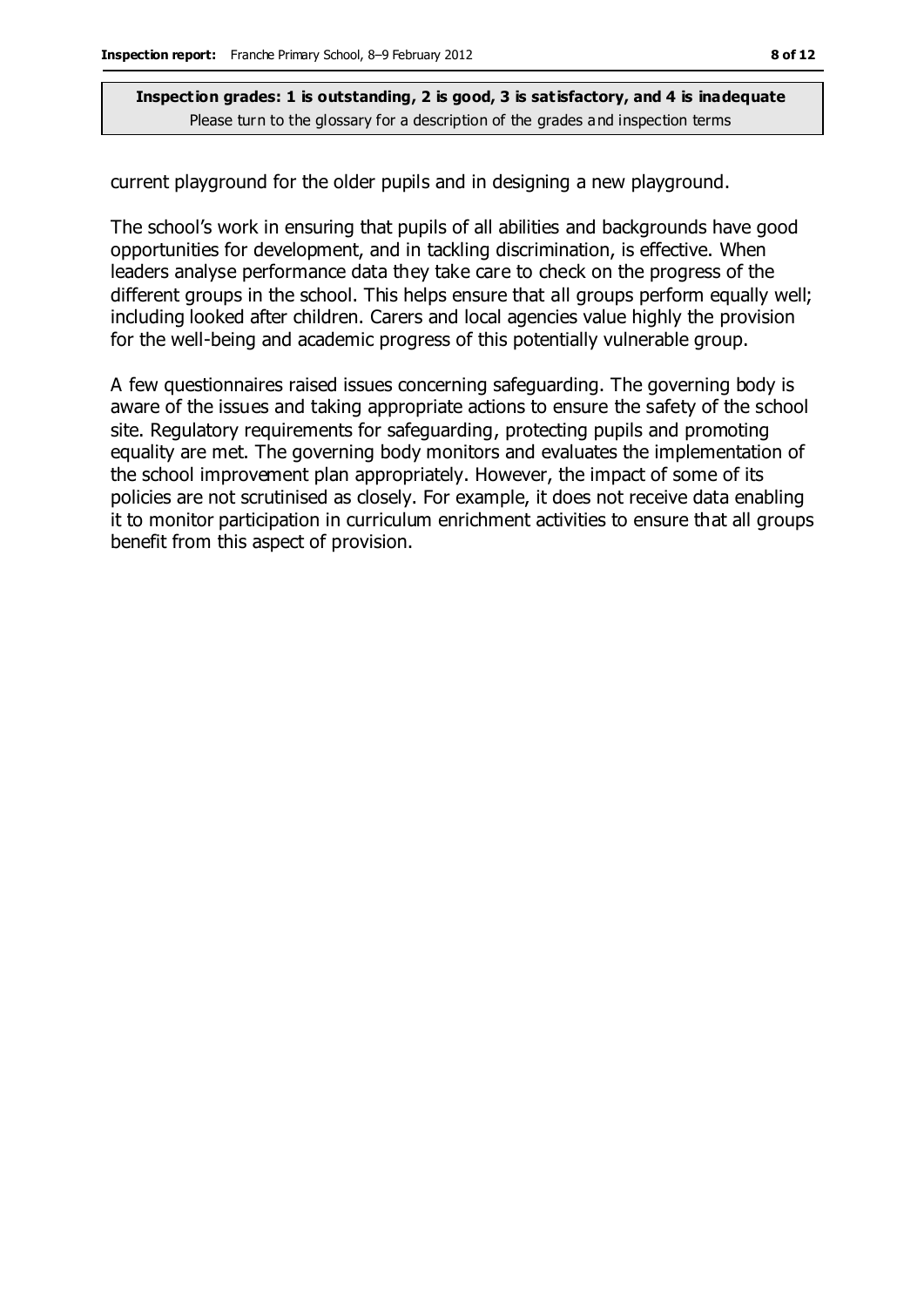current playground for the older pupils and in designing a new playground.

The school's work in ensuring that pupils of all abilities and backgrounds have good opportunities for development, and in tackling discrimination, is effective. When leaders analyse performance data they take care to check on the progress of the different groups in the school. This helps ensure that all groups perform equally well; including looked after children. Carers and local agencies value highly the provision for the well-being and academic progress of this potentially vulnerable group.

A few questionnaires raised issues concerning safeguarding. The governing body is aware of the issues and taking appropriate actions to ensure the safety of the school site. Regulatory requirements for safeguarding, protecting pupils and promoting equality are met. The governing body monitors and evaluates the implementation of the school improvement plan appropriately. However, the impact of some of its policies are not scrutinised as closely. For example, it does not receive data enabling it to monitor participation in curriculum enrichment activities to ensure that all groups benefit from this aspect of provision.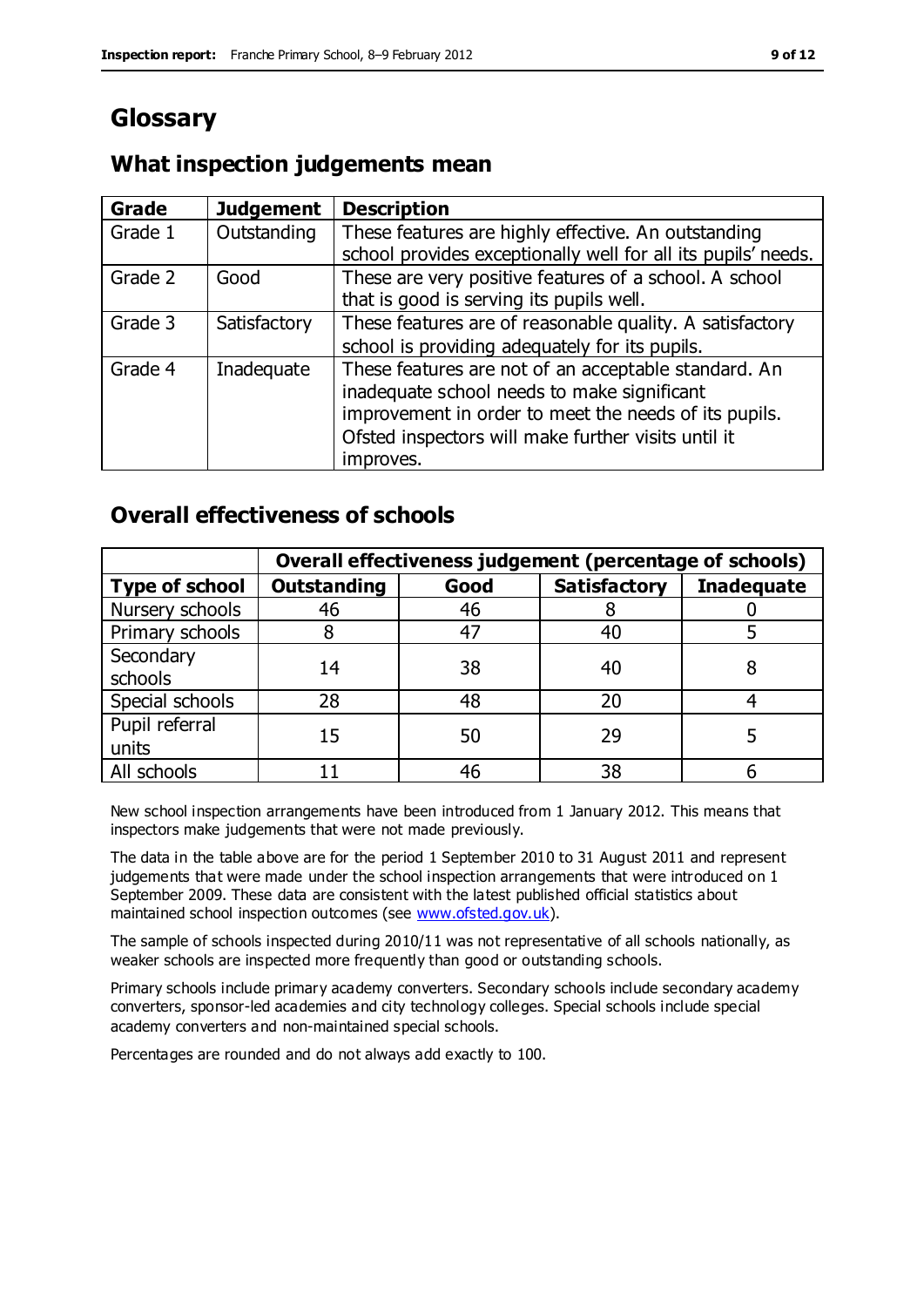# **Glossary**

### **What inspection judgements mean**

| <b>Grade</b> | <b>Judgement</b> | <b>Description</b>                                            |
|--------------|------------------|---------------------------------------------------------------|
| Grade 1      | Outstanding      | These features are highly effective. An outstanding           |
|              |                  | school provides exceptionally well for all its pupils' needs. |
| Grade 2      | Good             | These are very positive features of a school. A school        |
|              |                  | that is good is serving its pupils well.                      |
| Grade 3      | Satisfactory     | These features are of reasonable quality. A satisfactory      |
|              |                  | school is providing adequately for its pupils.                |
| Grade 4      | Inadequate       | These features are not of an acceptable standard. An          |
|              |                  | inadequate school needs to make significant                   |
|              |                  | improvement in order to meet the needs of its pupils.         |
|              |                  | Ofsted inspectors will make further visits until it           |
|              |                  | improves.                                                     |

### **Overall effectiveness of schools**

|                         | Overall effectiveness judgement (percentage of schools) |      |                     |                   |
|-------------------------|---------------------------------------------------------|------|---------------------|-------------------|
| <b>Type of school</b>   | <b>Outstanding</b>                                      | Good | <b>Satisfactory</b> | <b>Inadequate</b> |
| Nursery schools         | 46                                                      | 46   |                     |                   |
| Primary schools         |                                                         | 47   | 40                  |                   |
| Secondary<br>schools    | 14                                                      | 38   | 40                  |                   |
| Special schools         | 28                                                      | 48   | 20                  |                   |
| Pupil referral<br>units | 15                                                      | 50   | 29                  |                   |
| All schools             |                                                         | 46   | 38                  |                   |

New school inspection arrangements have been introduced from 1 January 2012. This means that inspectors make judgements that were not made previously.

The data in the table above are for the period 1 September 2010 to 31 August 2011 and represent judgements that were made under the school inspection arrangements that were introduced on 1 September 2009. These data are consistent with the latest published official statistics about maintained school inspection outcomes (see [www.ofsted.gov.uk\)](http://www.ofsted.gov.uk/).

The sample of schools inspected during 2010/11 was not representative of all schools nationally, as weaker schools are inspected more frequently than good or outstanding schools.

Primary schools include primary academy converters. Secondary schools include secondary academy converters, sponsor-led academies and city technology colleges. Special schools include special academy converters and non-maintained special schools.

Percentages are rounded and do not always add exactly to 100.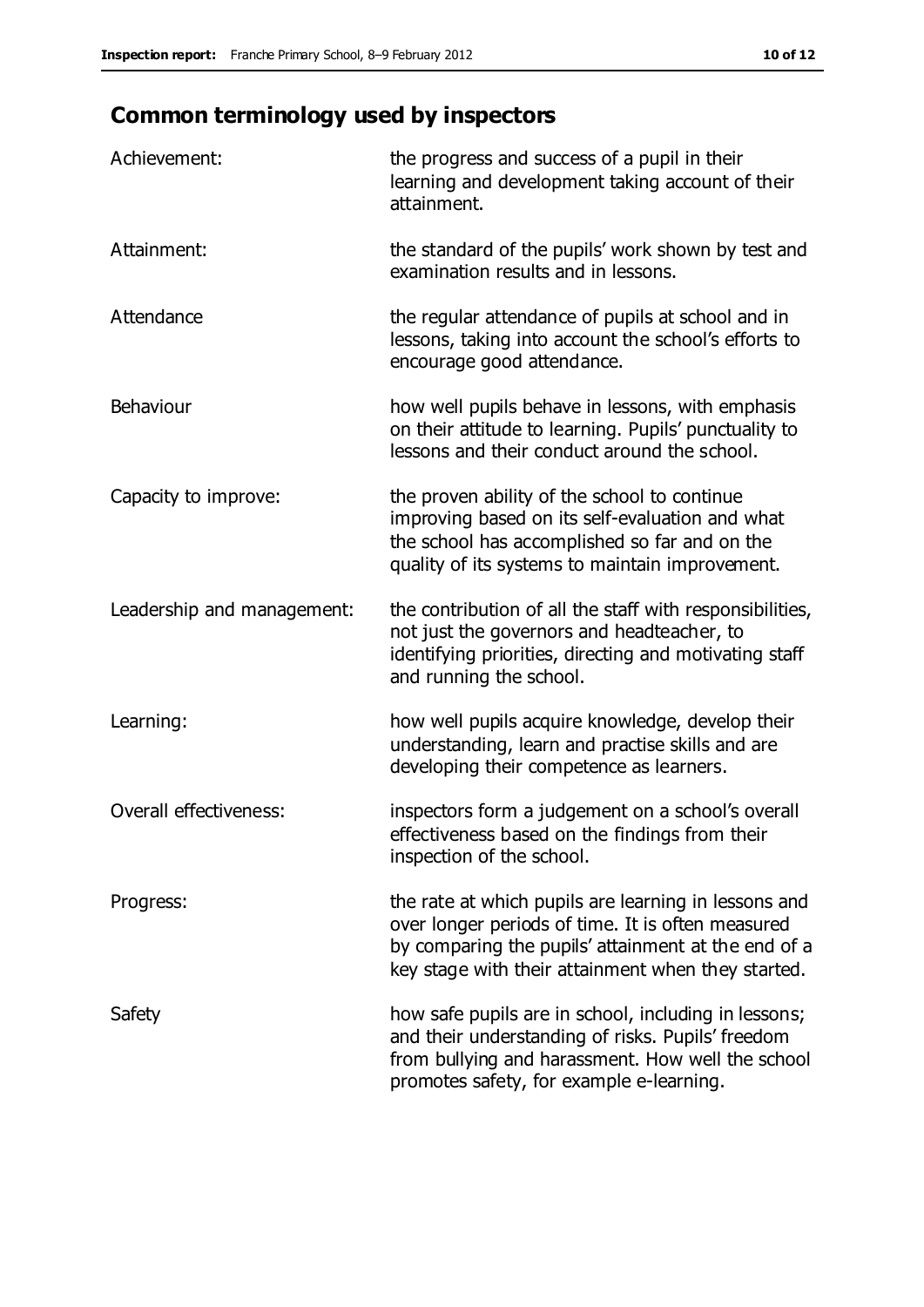# **Common terminology used by inspectors**

| Achievement:                  | the progress and success of a pupil in their<br>learning and development taking account of their<br>attainment.                                                                                                        |
|-------------------------------|------------------------------------------------------------------------------------------------------------------------------------------------------------------------------------------------------------------------|
| Attainment:                   | the standard of the pupils' work shown by test and<br>examination results and in lessons.                                                                                                                              |
| Attendance                    | the regular attendance of pupils at school and in<br>lessons, taking into account the school's efforts to<br>encourage good attendance.                                                                                |
| Behaviour                     | how well pupils behave in lessons, with emphasis<br>on their attitude to learning. Pupils' punctuality to<br>lessons and their conduct around the school.                                                              |
| Capacity to improve:          | the proven ability of the school to continue<br>improving based on its self-evaluation and what<br>the school has accomplished so far and on the<br>quality of its systems to maintain improvement.                    |
| Leadership and management:    | the contribution of all the staff with responsibilities,<br>not just the governors and headteacher, to<br>identifying priorities, directing and motivating staff<br>and running the school.                            |
| Learning:                     | how well pupils acquire knowledge, develop their<br>understanding, learn and practise skills and are<br>developing their competence as learners.                                                                       |
| <b>Overall effectiveness:</b> | inspectors form a judgement on a school's overall<br>effectiveness based on the findings from their<br>inspection of the school.                                                                                       |
| Progress:                     | the rate at which pupils are learning in lessons and<br>over longer periods of time. It is often measured<br>by comparing the pupils' attainment at the end of a<br>key stage with their attainment when they started. |
| Safety                        | how safe pupils are in school, including in lessons;<br>and their understanding of risks. Pupils' freedom<br>from bullying and harassment. How well the school<br>promotes safety, for example e-learning.             |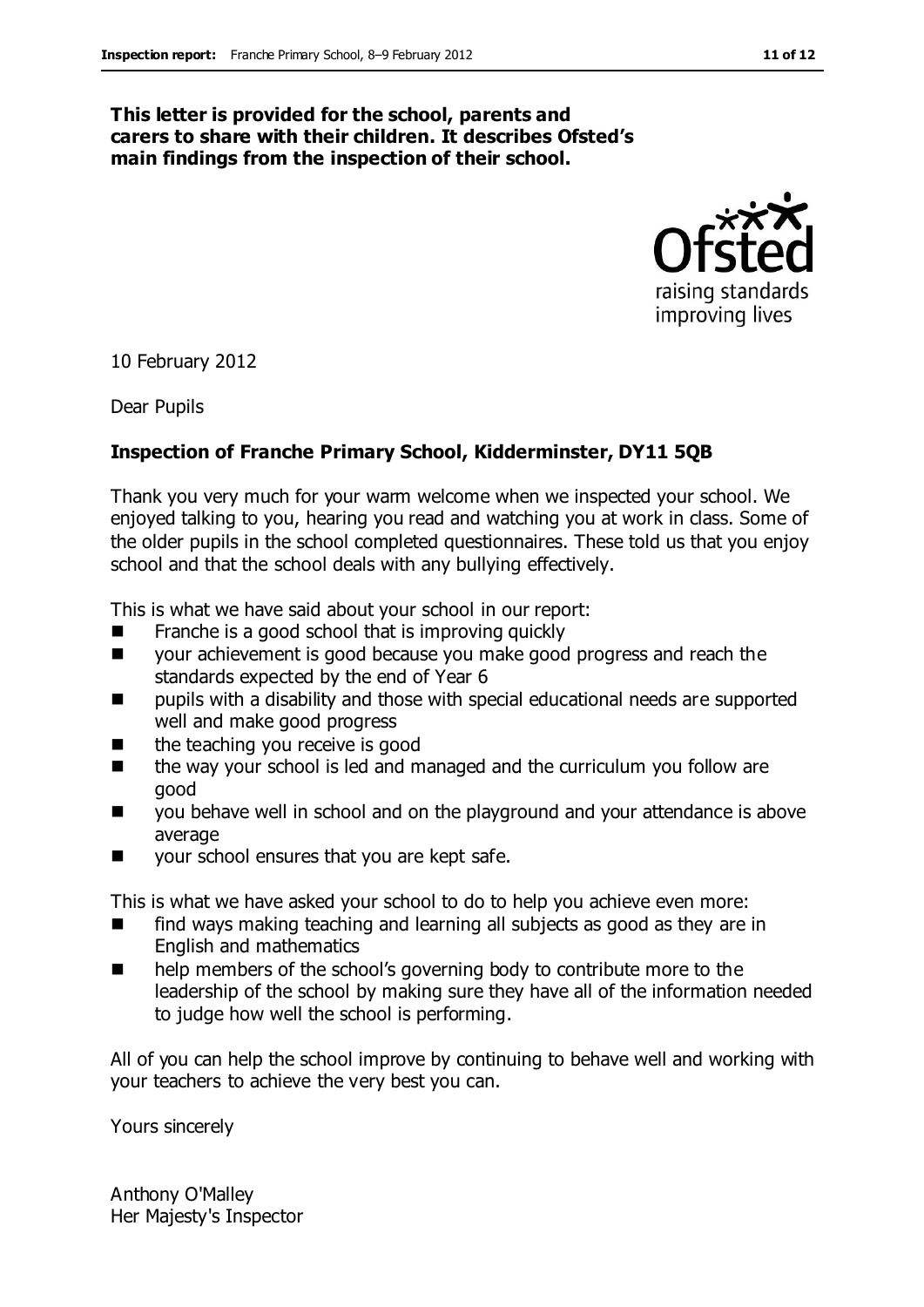#### **This letter is provided for the school, parents and carers to share with their children. It describes Ofsted's main findings from the inspection of their school.**



10 February 2012

Dear Pupils

#### **Inspection of Franche Primary School, Kidderminster, DY11 5QB**

Thank you very much for your warm welcome when we inspected your school. We enjoyed talking to you, hearing you read and watching you at work in class. Some of the older pupils in the school completed questionnaires. These told us that you enjoy school and that the school deals with any bullying effectively.

This is what we have said about your school in our report:

- $\blacksquare$  Franche is a good school that is improving quickly
- your achievement is good because you make good progress and reach the standards expected by the end of Year 6
- **Parther** pupils with a disability and those with special educational needs are supported well and make good progress
- the teaching you receive is good
- the way your school is led and managed and the curriculum you follow are good
- **U** you behave well in school and on the playground and your attendance is above average
- your school ensures that you are kept safe.

This is what we have asked your school to do to help you achieve even more:

- find ways making teaching and learning all subjects as good as they are in English and mathematics
- help members of the school's governing body to contribute more to the leadership of the school by making sure they have all of the information needed to judge how well the school is performing.

All of you can help the school improve by continuing to behave well and working with your teachers to achieve the very best you can.

Yours sincerely

Anthony O'Malley Her Majesty's Inspector